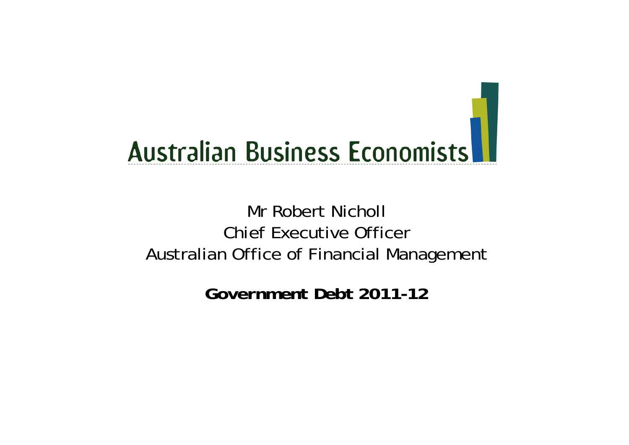# **Australian Business Economists**

#### Mr Robert NichollChief Executive Officer Australian Office of Financial Management

*Government Debt 2011-12*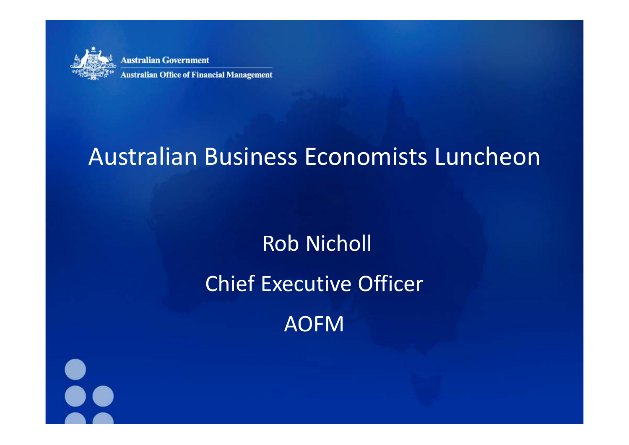

**Australian Government Australian Office of Financial Management** 

## Australian Business Economists Luncheon

# Rob Nicholl Chief Executive Officer AOFM

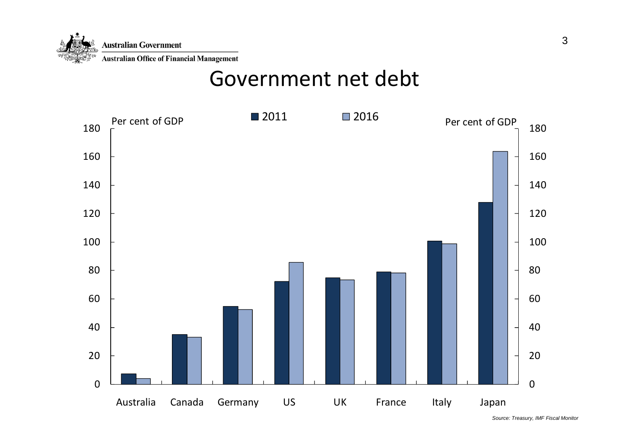

#### Government net debt



*Source: Treasury, IMF Fiscal Monitor*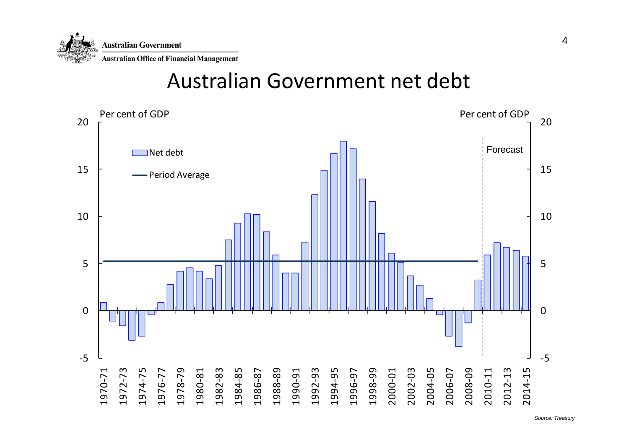

#### Australian Government net debt

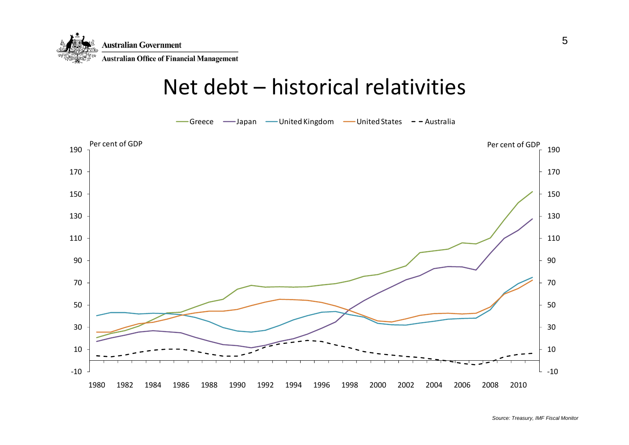

#### Net debt – historical relativities

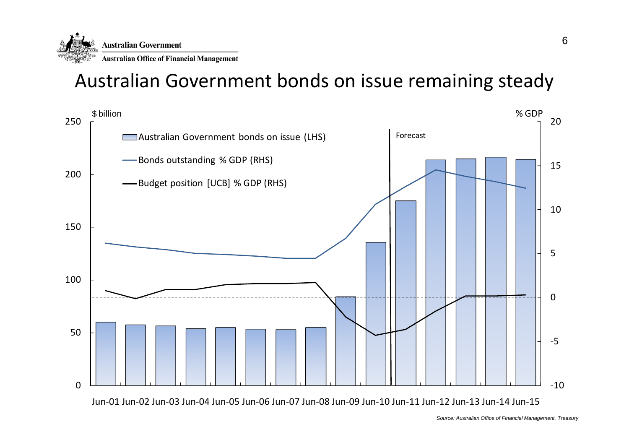

#### Australian Government bonds on issue remaining steady

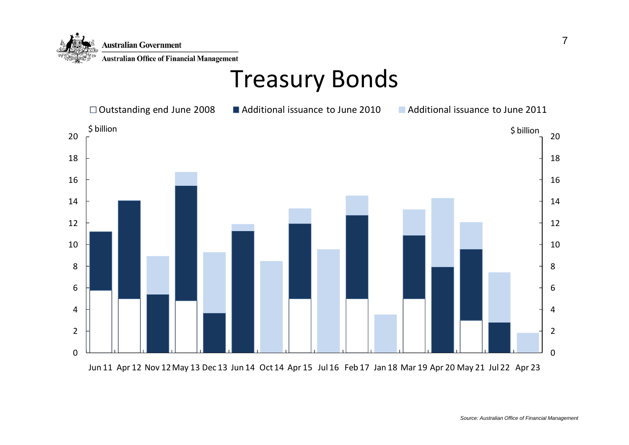

### Treasury Bonds

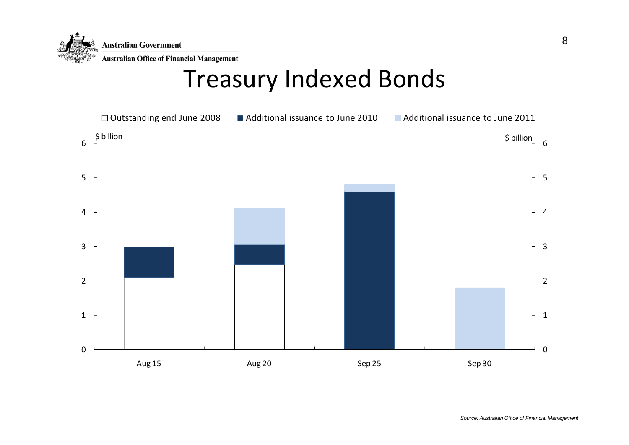

### Treasury Indexed Bonds